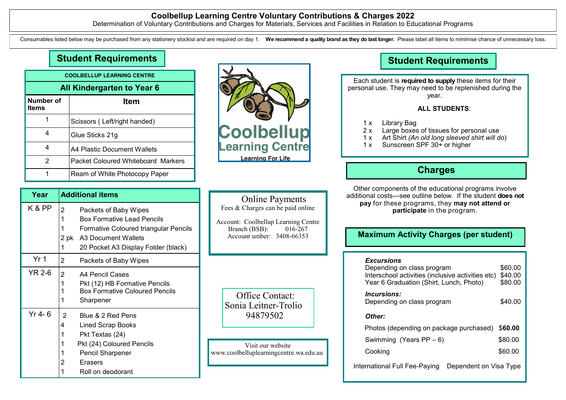# **Coolbellup Learning Centre Voluntary Contributions & Charges 2022**

Determination of Voluntary Contributions and Charges for Materials, Services and Facilities in Relation to Educational Programs

Consumables listed below may be purchased from any stationery stockist and are required on day 1. We recommend a quality brand as they do last longer. Please label all items to minimise chance of unnecessary loss.

# **Student Requirements**

| <b>COOLBELLUP LEARNING CENTRE</b> |                                    |  |
|-----------------------------------|------------------------------------|--|
| All Kindergarten to Year 6        |                                    |  |
| Number of<br>Items                | Item                               |  |
|                                   | Scissors (Left/right handed)       |  |
| 4                                 | Glue Sticks 21g                    |  |
| 4                                 | A4 Plastic Document Wallets        |  |
| 2                                 | Packet Coloured Whiteboard Markers |  |
|                                   | Ream of White Photocopy Paper      |  |



# **Year Additional items** K & PP  $\vert_2$  Packets of Baby Wipes 1 Box Formative Lead Pencils 1 Formative Coloured triangular Pencils 2 pk A3 Document Wallets 20 Pocket A3 Display Folder (black)  $\begin{array}{cc} \n\text{Yr 1} & \quad 2 \\
\end{array}$  Packets of Baby Wipes  $YR 2-6$  2 A4 Pencil Cases 1 Pkt (12) HB Formative Pencils Box Formative Coloured Pencils **Sharpener** Yr 4- 6  $\vert$  2 Blue & 2 Red Pens 4 Lined Scrap Books 1 Pkt Textas (24) Pkt (24) Coloured Pencils Pencil Sharpener 2 Erasers

Roll on deodorant

 Online Payments Fees & Charges can be paid online

Account: Coolbellup Learning Centre<br>Branch (BSB): 016-267 Branch  $(BSB)$ : Account umber: 3408-66353

 Office Contact: Sonia Leitner-Trolio 94879502

Visit our website www.coolbelluplearningcentre.wa.edu.au

# **Student Requirements**

Each student is **required to supply** these items for their personal use. They may need to be replenished during the year.

# **ALL STUDENTS**:

- 1 x Library Bag
- 2 x Large boxes of tissues for personal use<br>1 x Art Shirt (An old long sleeved shirt will d
	- Art Shirt *(An old long sleeved shirt will do*)
- 1 x Sunscreen SPF 30+ or higher

# **Charges**

Other components of the educational programs involve additional costs—see outline below. If the student **does not pay** for these programs, they **may not attend or participate** in the program.

# **Maximum Activity Charges (per student)**

## *Excursions*

| Depending on class program<br>Interschool activities (inclusive activities etc)<br>Year 6 Graduation (Shirt, Lunch, Photo) | \$60.00<br>\$40.00<br>\$80.00 |
|----------------------------------------------------------------------------------------------------------------------------|-------------------------------|
| <i><u><b>Incursions:</b></u></i><br>Depending on class program                                                             | \$40.00                       |
| Other:                                                                                                                     |                               |
| Photos (depending on package purchased)                                                                                    | \$60.00                       |
| Swimming (Years $PP - 6$ )                                                                                                 | \$80.00                       |
| Cooking                                                                                                                    | \$60.00                       |
| International Full Fee-Paying<br>Dependent on Visa Type                                                                    |                               |